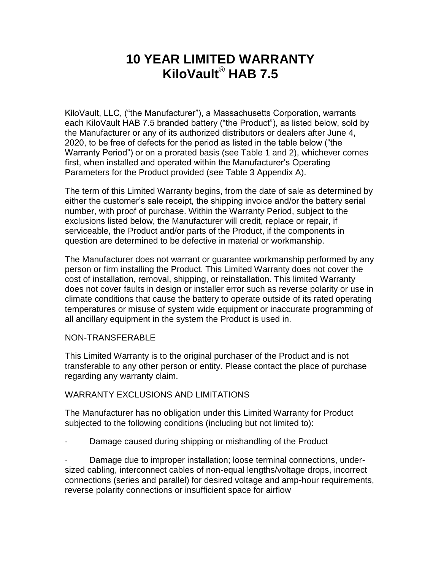# **10 YEAR LIMITED WARRANTY KiloVault**® **HAB 7.5**

KiloVault, LLC, ("the Manufacturer"), a Massachusetts Corporation, warrants each KiloVault HAB 7.5 branded battery ("the Product"), as listed below, sold by the Manufacturer or any of its authorized distributors or dealers after June 4, 2020, to be free of defects for the period as listed in the table below ("the Warranty Period") or on a prorated basis (see Table 1 and 2), whichever comes first, when installed and operated within the Manufacturer's Operating Parameters for the Product provided (see Table 3 Appendix A).

The term of this Limited Warranty begins, from the date of sale as determined by either the customer's sale receipt, the shipping invoice and/or the battery serial number, with proof of purchase. Within the Warranty Period, subject to the exclusions listed below, the Manufacturer will credit, replace or repair, if serviceable, the Product and/or parts of the Product, if the components in question are determined to be defective in material or workmanship.

The Manufacturer does not warrant or guarantee workmanship performed by any person or firm installing the Product. This Limited Warranty does not cover the cost of installation, removal, shipping, or reinstallation. This limited Warranty does not cover faults in design or installer error such as reverse polarity or use in climate conditions that cause the battery to operate outside of its rated operating temperatures or misuse of system wide equipment or inaccurate programming of all ancillary equipment in the system the Product is used in.

# NON-TRANSFERABLE

This Limited Warranty is to the original purchaser of the Product and is not transferable to any other person or entity. Please contact the place of purchase regarding any warranty claim.

# WARRANTY EXCLUSIONS AND LIMITATIONS

The Manufacturer has no obligation under this Limited Warranty for Product subjected to the following conditions (including but not limited to):

Damage caused during shipping or mishandling of the Product

· Damage due to improper installation; loose terminal connections, undersized cabling, interconnect cables of non-equal lengths/voltage drops, incorrect connections (series and parallel) for desired voltage and amp-hour requirements, reverse polarity connections or insufficient space for airflow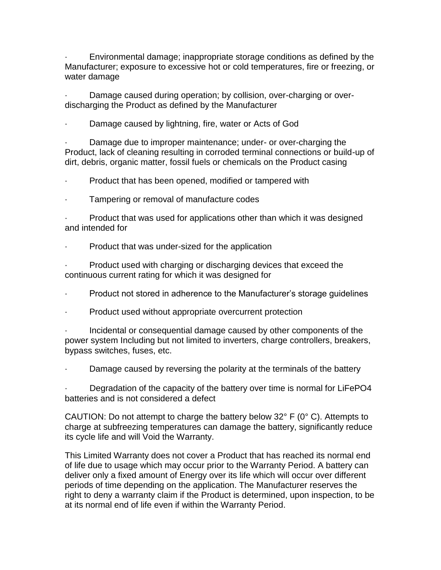· Environmental damage; inappropriate storage conditions as defined by the Manufacturer; exposure to excessive hot or cold temperatures, fire or freezing, or water damage

Damage caused during operation; by collision, over-charging or overdischarging the Product as defined by the Manufacturer

Damage caused by lightning, fire, water or Acts of God

Damage due to improper maintenance; under- or over-charging the Product, lack of cleaning resulting in corroded terminal connections or build-up of dirt, debris, organic matter, fossil fuels or chemicals on the Product casing

Product that has been opened, modified or tampered with

· Tampering or removal of manufacture codes

Product that was used for applications other than which it was designed and intended for

Product that was under-sized for the application

Product used with charging or discharging devices that exceed the continuous current rating for which it was designed for

- Product not stored in adherence to the Manufacturer's storage guidelines
- Product used without appropriate overcurrent protection

· Incidental or consequential damage caused by other components of the power system Including but not limited to inverters, charge controllers, breakers, bypass switches, fuses, etc.

Damage caused by reversing the polarity at the terminals of the battery

Degradation of the capacity of the battery over time is normal for LiFePO4 batteries and is not considered a defect

CAUTION: Do not attempt to charge the battery below 32° F (0° C). Attempts to charge at subfreezing temperatures can damage the battery, significantly reduce its cycle life and will Void the Warranty.

This Limited Warranty does not cover a Product that has reached its normal end of life due to usage which may occur prior to the Warranty Period. A battery can deliver only a fixed amount of Energy over its life which will occur over different periods of time depending on the application. The Manufacturer reserves the right to deny a warranty claim if the Product is determined, upon inspection, to be at its normal end of life even if within the Warranty Period.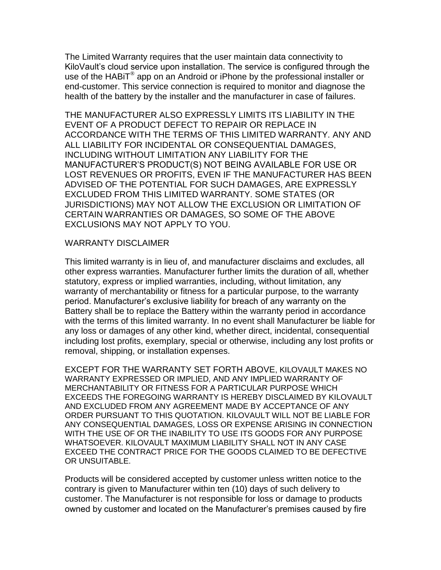The Limited Warranty requires that the user maintain data connectivity to KiloVault's cloud service upon installation. The service is configured through the use of the HABiT<sup>®</sup> app on an Android or iPhone by the professional installer or end-customer. This service connection is required to monitor and diagnose the health of the battery by the installer and the manufacturer in case of failures.

THE MANUFACTURER ALSO EXPRESSLY LIMITS ITS LIABILITY IN THE EVENT OF A PRODUCT DEFECT TO REPAIR OR REPLACE IN ACCORDANCE WITH THE TERMS OF THIS LIMITED WARRANTY. ANY AND ALL LIABILITY FOR INCIDENTAL OR CONSEQUENTIAL DAMAGES, INCLUDING WITHOUT LIMITATION ANY LIABILITY FOR THE MANUFACTURER'S PRODUCT(S) NOT BEING AVAILABLE FOR USE OR LOST REVENUES OR PROFITS, EVEN IF THE MANUFACTURER HAS BEEN ADVISED OF THE POTENTIAL FOR SUCH DAMAGES, ARE EXPRESSLY EXCLUDED FROM THIS LIMITED WARRANTY. SOME STATES (OR JURISDICTIONS) MAY NOT ALLOW THE EXCLUSION OR LIMITATION OF CERTAIN WARRANTIES OR DAMAGES, SO SOME OF THE ABOVE EXCLUSIONS MAY NOT APPLY TO YOU.

#### WARRANTY DISCLAIMER

This limited warranty is in lieu of, and manufacturer disclaims and excludes, all other express warranties. Manufacturer further limits the duration of all, whether statutory, express or implied warranties, including, without limitation, any warranty of merchantability or fitness for a particular purpose, to the warranty period. Manufacturer's exclusive liability for breach of any warranty on the Battery shall be to replace the Battery within the warranty period in accordance with the terms of this limited warranty. In no event shall Manufacturer be liable for any loss or damages of any other kind, whether direct, incidental, consequential including lost profits, exemplary, special or otherwise, including any lost profits or removal, shipping, or installation expenses.

EXCEPT FOR THE WARRANTY SET FORTH ABOVE, KILOVAULT MAKES NO WARRANTY EXPRESSED OR IMPLIED, AND ANY IMPLIED WARRANTY OF MERCHANTABILITY OR FITNESS FOR A PARTICULAR PURPOSE WHICH EXCEEDS THE FOREGOING WARRANTY IS HEREBY DISCLAIMED BY KILOVAULT AND EXCLUDED FROM ANY AGREEMENT MADE BY ACCEPTANCE OF ANY ORDER PURSUANT TO THIS QUOTATION. KILOVAULT WILL NOT BE LIABLE FOR ANY CONSEQUENTIAL DAMAGES, LOSS OR EXPENSE ARISING IN CONNECTION WITH THE USE OF OR THE INABILITY TO USE ITS GOODS FOR ANY PURPOSE WHATSOEVER. KILOVAULT MAXIMUM LIABILITY SHALL NOT IN ANY CASE EXCEED THE CONTRACT PRICE FOR THE GOODS CLAIMED TO BE DEFECTIVE OR UNSUITABLE.

Products will be considered accepted by customer unless written notice to the contrary is given to Manufacturer within ten (10) days of such delivery to customer. The Manufacturer is not responsible for loss or damage to products owned by customer and located on the Manufacturer's premises caused by fire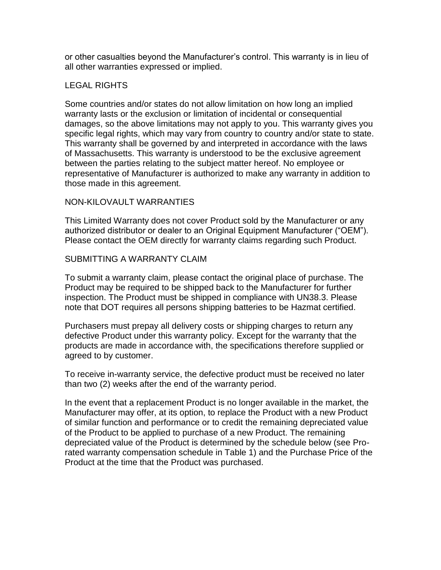or other casualties beyond the Manufacturer's control. This warranty is in lieu of all other warranties expressed or implied.

# LEGAL RIGHTS

Some countries and/or states do not allow limitation on how long an implied warranty lasts or the exclusion or limitation of incidental or consequential damages, so the above limitations may not apply to you. This warranty gives you specific legal rights, which may vary from country to country and/or state to state. This warranty shall be governed by and interpreted in accordance with the laws of Massachusetts. This warranty is understood to be the exclusive agreement between the parties relating to the subject matter hereof. No employee or representative of Manufacturer is authorized to make any warranty in addition to those made in this agreement.

# NON-KILOVAULT WARRANTIES

This Limited Warranty does not cover Product sold by the Manufacturer or any authorized distributor or dealer to an Original Equipment Manufacturer ("OEM"). Please contact the OEM directly for warranty claims regarding such Product.

#### SUBMITTING A WARRANTY CLAIM

To submit a warranty claim, please contact the original place of purchase. The Product may be required to be shipped back to the Manufacturer for further inspection. The Product must be shipped in compliance with UN38.3. Please note that DOT requires all persons shipping batteries to be Hazmat certified.

Purchasers must prepay all delivery costs or shipping charges to return any defective Product under this warranty policy. Except for the warranty that the products are made in accordance with, the specifications therefore supplied or agreed to by customer.

To receive in-warranty service, the defective product must be received no later than two (2) weeks after the end of the warranty period.

In the event that a replacement Product is no longer available in the market, the Manufacturer may offer, at its option, to replace the Product with a new Product of similar function and performance or to credit the remaining depreciated value of the Product to be applied to purchase of a new Product. The remaining depreciated value of the Product is determined by the schedule below (see Prorated warranty compensation schedule in Table 1) and the Purchase Price of the Product at the time that the Product was purchased.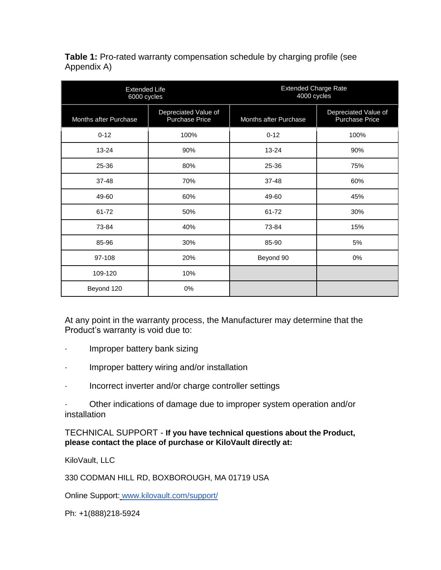**Table 1:** Pro-rated warranty compensation schedule by charging profile (see Appendix A)

| <b>Extended Life</b><br>6000 cycles |                                        | <b>Extended Charge Rate</b><br>4000 cycles |                                        |
|-------------------------------------|----------------------------------------|--------------------------------------------|----------------------------------------|
| Months after Purchase               | Depreciated Value of<br>Purchase Price | Months after Purchase                      | Depreciated Value of<br>Purchase Price |
| $0 - 12$                            | 100%                                   | $0 - 12$                                   | 100%                                   |
| 13-24                               | 90%                                    | 13-24                                      | 90%                                    |
| 25-36                               | 80%                                    | 25-36                                      | 75%                                    |
| 37-48                               | 70%                                    | 37-48                                      | 60%                                    |
| 49-60                               | 60%                                    | 49-60                                      | 45%                                    |
| 61-72                               | 50%                                    | 61-72                                      | 30%                                    |
| 73-84                               | 40%                                    | 73-84                                      | 15%                                    |
| 85-96                               | 30%                                    | 85-90                                      | 5%                                     |
| 97-108                              | 20%                                    | Beyond 90                                  | 0%                                     |
| 109-120                             | 10%                                    |                                            |                                        |
| Beyond 120                          | 0%                                     |                                            |                                        |

At any point in the warranty process, the Manufacturer may determine that the Product's warranty is void due to:

- · Improper battery bank sizing
- · Improper battery wiring and/or installation
- · Incorrect inverter and/or charge controller settings

Other indications of damage due to improper system operation and/or installation

TECHNICAL SUPPORT - **If you have technical questions about the Product, please contact the place of purchase or KiloVault directly at:**

KiloVault, LLC

330 CODMAN HILL RD, BOXBOROUGH, MA 01719 USA

Online Support: [www.kilovault.com/support/](http://www.kilovault.com/support/)

Ph: +1(888)218-5924